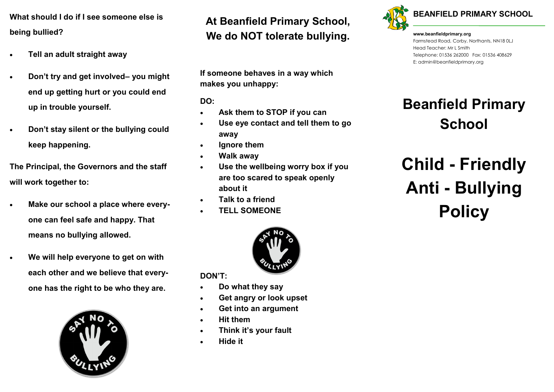**What should I do if I see someone else is being bullied?**

- **Tell an adult straight away**
- **Don't try and get involved– you might end up getting hurt or you could end up in trouble yourself.**
- **Don't stay silent or the bullying could keep happening.**

**The Principal, the Governors and the staff will work together to:**

- **Make our school a place where everyone can feel safe and happy. That means no bullying allowed.**
- **We will help everyone to get on with each other and we believe that everyone has the right to be who they are.**



### **At Beanfield Primary School, We do NOT tolerate bullying.**

**If someone behaves in a way which makes you unhappy:**

**DO:**

- **Ask them to STOP if you can**
- **Use eye contact and tell them to go away**
- **Ignore them**
- **Walk away**
- **Use the wellbeing worry box if you are too scared to speak openly about it**
- **Talk to a friend**
- **TELL SOMEONE**



**DON'T:**

- **Do what they say**
- **Get angry or look upset**
- **Get into an argument**
- **Hit them**
- **Think it's your fault**
- **Hide it**



**www.beanfieldprimary.org**  Farmstead Road, Corby, Northants, NN18 0LJ Head Teacher: Mr L Smith Telephone: 01536 262000 Fax: 01536 408629

E: admin@beanfieldprimary.org

### **Beanfield Primary School**

### **Child - Friendly Anti - Bullying Policy**